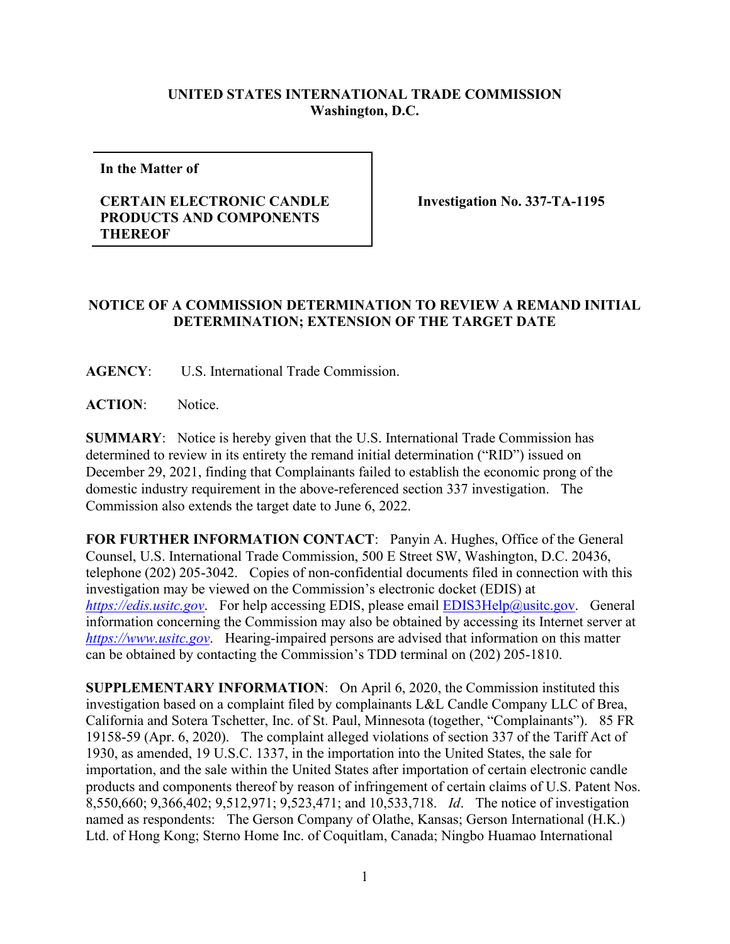## **UNITED STATES INTERNATIONAL TRADE COMMISSION Washington, D.C.**

**In the Matter of** 

## **CERTAIN ELECTRONIC CANDLE PRODUCTS AND COMPONENTS THEREOF**

**Investigation No. 337-TA-1195** 

## **NOTICE OF A COMMISSION DETERMINATION TO REVIEW A REMAND INITIAL DETERMINATION; EXTENSION OF THE TARGET DATE**

**AGENCY**: U.S. International Trade Commission.

**ACTION**: Notice.

**SUMMARY**: Notice is hereby given that the U.S. International Trade Commission has determined to review in its entirety the remand initial determination ("RID") issued on December 29, 2021, finding that Complainants failed to establish the economic prong of the domestic industry requirement in the above-referenced section 337 investigation. The Commission also extends the target date to June 6, 2022.

**FOR FURTHER INFORMATION CONTACT**: Panyin A. Hughes, Office of the General Counsel, U.S. International Trade Commission, 500 E Street SW, Washington, D.C. 20436, telephone (202) 205-3042. Copies of non-confidential documents filed in connection with this investigation may be viewed on the Commission's electronic docket (EDIS) at *[https://edis.usitc.gov](https://edis.usitc.gov/).* For help accessing EDIS, please email [EDIS3Help@usitc.gov.](mailto:EDIS3Help@usitc.gov) General information concerning the Commission may also be obtained by accessing its Internet server at *[https://www.usitc.gov](https://www.usitc.gov/)*. Hearing-impaired persons are advised that information on this matter can be obtained by contacting the Commission's TDD terminal on (202) 205-1810.

**SUPPLEMENTARY INFORMATION**: On April 6, 2020, the Commission instituted this investigation based on a complaint filed by complainants L&L Candle Company LLC of Brea, California and Sotera Tschetter, Inc. of St. Paul, Minnesota (together, "Complainants"). 85 FR 19158-59 (Apr. 6, 2020). The complaint alleged violations of section 337 of the Tariff Act of 1930, as amended, 19 U.S.C. 1337, in the importation into the United States, the sale for importation, and the sale within the United States after importation of certain electronic candle products and components thereof by reason of infringement of certain claims of U.S. Patent Nos. 8,550,660; 9,366,402; 9,512,971; 9,523,471; and 10,533,718. *Id*. The notice of investigation named as respondents: The Gerson Company of Olathe, Kansas; Gerson International (H.K.) Ltd. of Hong Kong; Sterno Home Inc. of Coquitlam, Canada; Ningbo Huamao International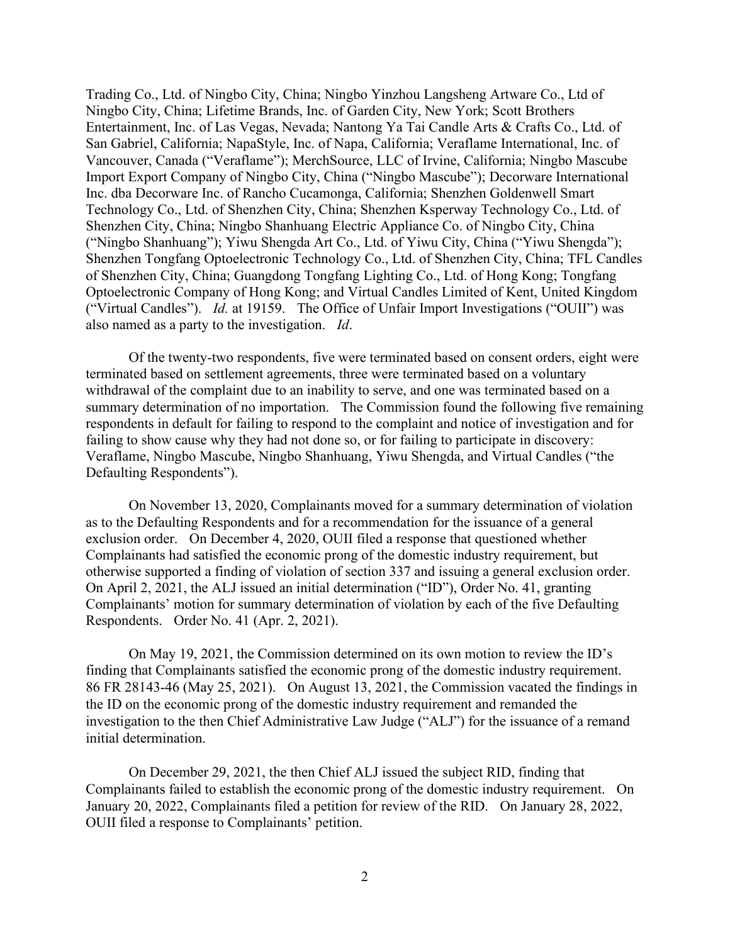Trading Co., Ltd. of Ningbo City, China; Ningbo Yinzhou Langsheng Artware Co., Ltd of Ningbo City, China; Lifetime Brands, Inc. of Garden City, New York; Scott Brothers Entertainment, Inc. of Las Vegas, Nevada; Nantong Ya Tai Candle Arts & Crafts Co., Ltd. of San Gabriel, California; NapaStyle, Inc. of Napa, California; Veraflame International, Inc. of Vancouver, Canada ("Veraflame"); MerchSource, LLC of Irvine, California; Ningbo Mascube Import Export Company of Ningbo City, China ("Ningbo Mascube"); Decorware International Inc. dba Decorware Inc. of Rancho Cucamonga, California; Shenzhen Goldenwell Smart Technology Co., Ltd. of Shenzhen City, China; Shenzhen Ksperway Technology Co., Ltd. of Shenzhen City, China; Ningbo Shanhuang Electric Appliance Co. of Ningbo City, China ("Ningbo Shanhuang"); Yiwu Shengda Art Co., Ltd. of Yiwu City, China ("Yiwu Shengda"); Shenzhen Tongfang Optoelectronic Technology Co., Ltd. of Shenzhen City, China; TFL Candles of Shenzhen City, China; Guangdong Tongfang Lighting Co., Ltd. of Hong Kong; Tongfang Optoelectronic Company of Hong Kong; and Virtual Candles Limited of Kent, United Kingdom ("Virtual Candles"). *Id.* at 19159. The Office of Unfair Import Investigations ("OUII") was also named as a party to the investigation. *Id*.

Of the twenty-two respondents, five were terminated based on consent orders, eight were terminated based on settlement agreements, three were terminated based on a voluntary withdrawal of the complaint due to an inability to serve, and one was terminated based on a summary determination of no importation. The Commission found the following five remaining respondents in default for failing to respond to the complaint and notice of investigation and for failing to show cause why they had not done so, or for failing to participate in discovery: Veraflame, Ningbo Mascube, Ningbo Shanhuang, Yiwu Shengda, and Virtual Candles ("the Defaulting Respondents").

On November 13, 2020, Complainants moved for a summary determination of violation as to the Defaulting Respondents and for a recommendation for the issuance of a general exclusion order. On December 4, 2020, OUII filed a response that questioned whether Complainants had satisfied the economic prong of the domestic industry requirement, but otherwise supported a finding of violation of section 337 and issuing a general exclusion order. On April 2, 2021, the ALJ issued an initial determination ("ID"), Order No. 41, granting Complainants' motion for summary determination of violation by each of the five Defaulting Respondents. Order No. 41 (Apr. 2, 2021).

On May 19, 2021, the Commission determined on its own motion to review the ID's finding that Complainants satisfied the economic prong of the domestic industry requirement. 86 FR 28143-46 (May 25, 2021). On August 13, 2021, the Commission vacated the findings in the ID on the economic prong of the domestic industry requirement and remanded the investigation to the then Chief Administrative Law Judge ("ALJ") for the issuance of a remand initial determination.

On December 29, 2021, the then Chief ALJ issued the subject RID, finding that Complainants failed to establish the economic prong of the domestic industry requirement. On January 20, 2022, Complainants filed a petition for review of the RID. On January 28, 2022, OUII filed a response to Complainants' petition.